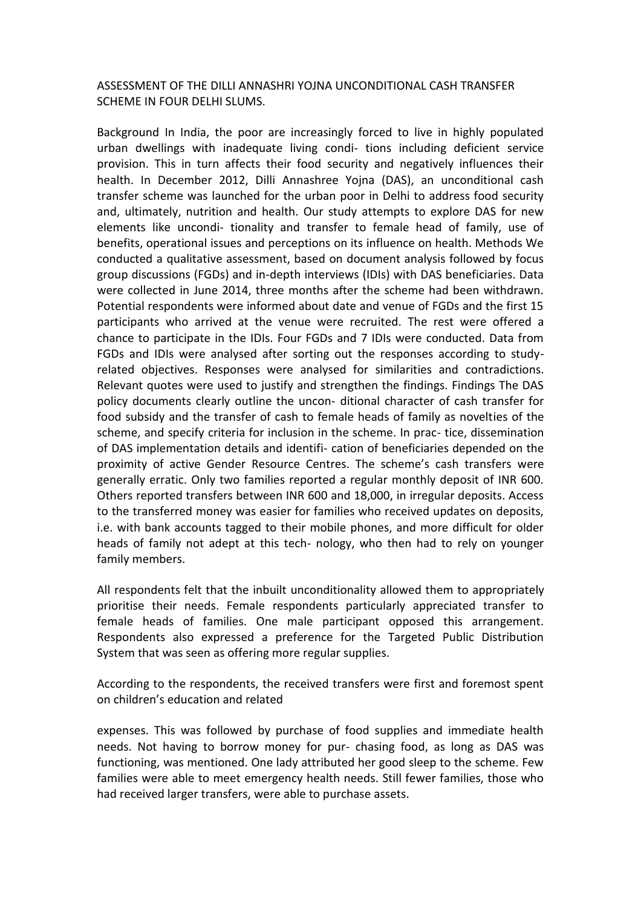## ASSESSMENT OF THE DILLI ANNASHRI YOJNA UNCONDITIONAL CASH TRANSFER SCHEME IN FOUR DELHI SLUMS.

Background In India, the poor are increasingly forced to live in highly populated urban dwellings with inadequate living condi- tions including deficient service provision. This in turn affects their food security and negatively influences their health. In December 2012, Dilli Annashree Yojna (DAS), an unconditional cash transfer scheme was launched for the urban poor in Delhi to address food security and, ultimately, nutrition and health. Our study attempts to explore DAS for new elements like uncondi- tionality and transfer to female head of family, use of benefits, operational issues and perceptions on its influence on health. Methods We conducted a qualitative assessment, based on document analysis followed by focus group discussions (FGDs) and in-depth interviews (IDIs) with DAS beneficiaries. Data were collected in June 2014, three months after the scheme had been withdrawn. Potential respondents were informed about date and venue of FGDs and the first 15 participants who arrived at the venue were recruited. The rest were offered a chance to participate in the IDIs. Four FGDs and 7 IDIs were conducted. Data from FGDs and IDIs were analysed after sorting out the responses according to studyrelated objectives. Responses were analysed for similarities and contradictions. Relevant quotes were used to justify and strengthen the findings. Findings The DAS policy documents clearly outline the uncon- ditional character of cash transfer for food subsidy and the transfer of cash to female heads of family as novelties of the scheme, and specify criteria for inclusion in the scheme. In prac- tice, dissemination of DAS implementation details and identifi- cation of beneficiaries depended on the proximity of active Gender Resource Centres. The scheme's cash transfers were generally erratic. Only two families reported a regular monthly deposit of INR 600. Others reported transfers between INR 600 and 18,000, in irregular deposits. Access to the transferred money was easier for families who received updates on deposits, i.e. with bank accounts tagged to their mobile phones, and more difficult for older heads of family not adept at this tech- nology, who then had to rely on younger family members.

All respondents felt that the inbuilt unconditionality allowed them to appropriately prioritise their needs. Female respondents particularly appreciated transfer to female heads of families. One male participant opposed this arrangement. Respondents also expressed a preference for the Targeted Public Distribution System that was seen as offering more regular supplies.

According to the respondents, the received transfers were first and foremost spent on children's education and related

expenses. This was followed by purchase of food supplies and immediate health needs. Not having to borrow money for pur- chasing food, as long as DAS was functioning, was mentioned. One lady attributed her good sleep to the scheme. Few families were able to meet emergency health needs. Still fewer families, those who had received larger transfers, were able to purchase assets.